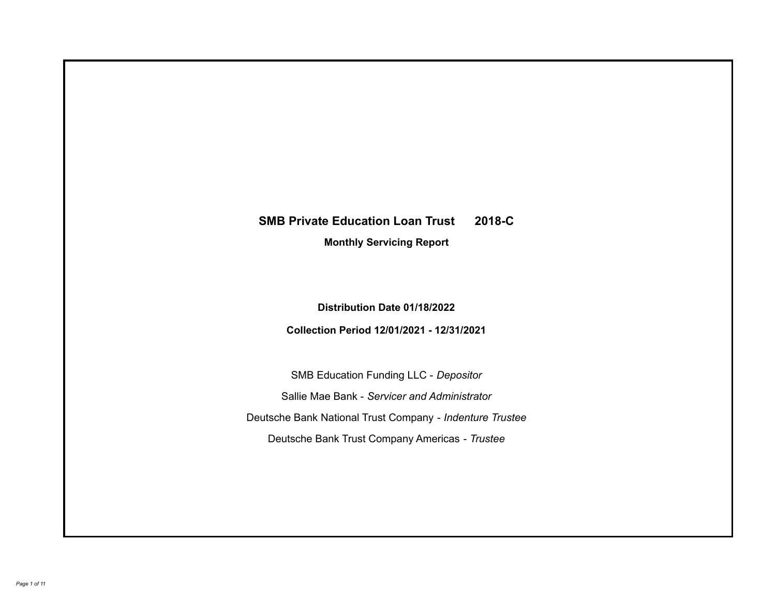# **SMB Private Education Loan Trust 2018-C**

**Monthly Servicing Report**

**Distribution Date 01/18/2022**

**Collection Period 12/01/2021 - 12/31/2021**

SMB Education Funding LLC - *Depositor* Sallie Mae Bank - *Servicer and Administrator* Deutsche Bank National Trust Company - *Indenture Trustee* Deutsche Bank Trust Company Americas - *Trustee*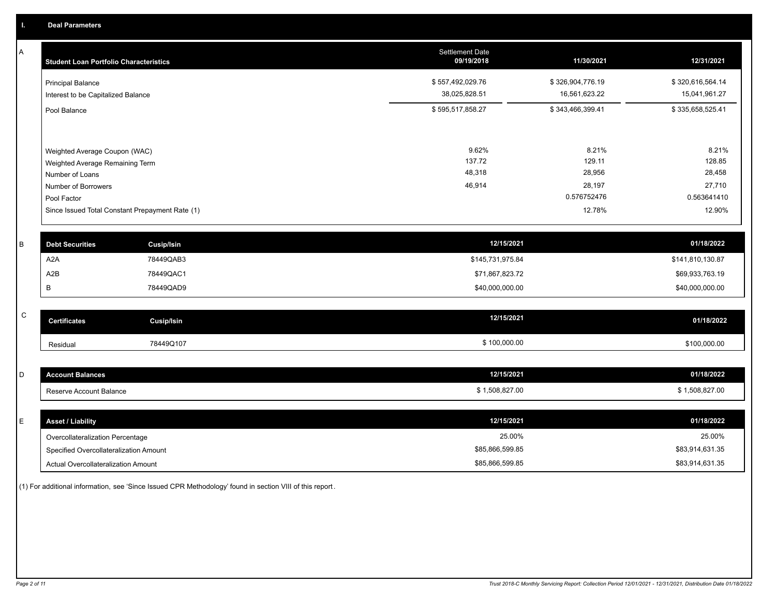A

| A            | <b>Student Loan Portfolio Characteristics</b> |                                                 | <b>Settlement Date</b><br>09/19/2018 | 11/30/2021       | 12/31/2021       |
|--------------|-----------------------------------------------|-------------------------------------------------|--------------------------------------|------------------|------------------|
|              | <b>Principal Balance</b>                      |                                                 | \$557,492,029.76                     | \$326,904,776.19 | \$320,616,564.14 |
|              | Interest to be Capitalized Balance            |                                                 | 38,025,828.51                        | 16,561,623.22    | 15,041,961.27    |
|              | Pool Balance                                  |                                                 | \$595,517,858.27                     | \$343,466,399.41 | \$335,658,525.41 |
|              |                                               |                                                 |                                      |                  |                  |
|              | Weighted Average Coupon (WAC)                 |                                                 | 9.62%                                | 8.21%            | 8.21%            |
|              | Weighted Average Remaining Term               |                                                 | 137.72                               | 129.11           | 128.85           |
|              | Number of Loans                               |                                                 | 48,318                               | 28,956           | 28,458           |
|              | Number of Borrowers                           |                                                 | 46,914                               | 28,197           | 27,710           |
|              | Pool Factor                                   |                                                 |                                      | 0.576752476      | 0.563641410      |
|              |                                               | Since Issued Total Constant Prepayment Rate (1) |                                      | 12.78%           | 12.90%           |
|              |                                               |                                                 |                                      |                  |                  |
| B            | <b>Debt Securities</b>                        | <b>Cusip/Isin</b>                               | 12/15/2021                           |                  | 01/18/2022       |
|              | A <sub>2</sub> A                              | 78449QAB3                                       | \$145,731,975.84                     |                  | \$141,810,130.87 |
|              | A2B                                           | 78449QAC1                                       | \$71,867,823.72                      |                  | \$69,933,763.19  |
|              | В                                             | 78449QAD9                                       | \$40,000,000.00                      |                  | \$40,000,000.00  |
|              |                                               |                                                 |                                      |                  |                  |
| $\mathsf{C}$ | <b>Certificates</b>                           | <b>Cusip/Isin</b>                               | 12/15/2021                           |                  | 01/18/2022       |
|              | Residual                                      | 78449Q107                                       | \$100,000.00                         |                  | \$100,000.00     |
|              |                                               |                                                 |                                      |                  |                  |
| D            | <b>Account Balances</b>                       |                                                 | 12/15/2021                           |                  | 01/18/2022       |
|              | Reserve Account Balance                       |                                                 | \$1,508,827.00                       |                  | \$1,508,827.00   |
|              |                                               |                                                 |                                      |                  |                  |
| E            | <b>Asset / Liability</b>                      |                                                 | 12/15/2021                           |                  | 01/18/2022       |
|              | Overcollateralization Percentage              |                                                 | 25.00%                               |                  | 25.00%           |

Actual Overcollateralization Amount \$85,866,599.85 Specified Overcollateralization Amount

(1) For additional information, see 'Since Issued CPR Methodology' found in section VIII of this report .

\$83,914,631.35 \$83,914,631.35

\$85,866,599.85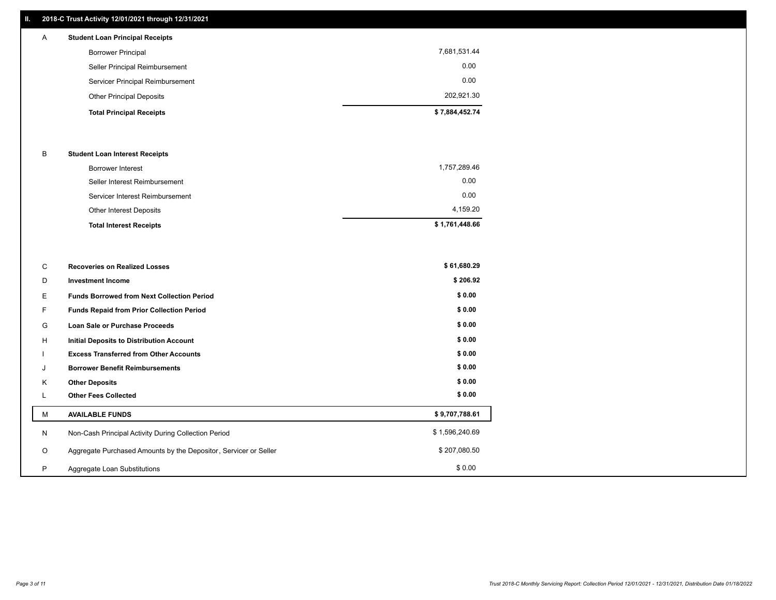# **II. 2018-C Trust Activity 12/01/2021 through 12/31/2021**

| A | <b>Student Loan Principal Receipts</b> |                |
|---|----------------------------------------|----------------|
|   | <b>Borrower Principal</b>              | 7,681,531.44   |
|   | Seller Principal Reimbursement         | 0.00           |
|   | Servicer Principal Reimbursement       | 0.00           |
|   | <b>Other Principal Deposits</b>        | 202,921.30     |
|   | <b>Total Principal Receipts</b>        | \$7,884,452.74 |

#### B **Student Loan Interest Receipts**

| <b>Total Interest Receipts</b>  | \$1,761,448.66 |
|---------------------------------|----------------|
| <b>Other Interest Deposits</b>  | 4.159.20       |
| Servicer Interest Reimbursement | 0.00           |
| Seller Interest Reimbursement   | 0.00           |
| Borrower Interest               | 1,757,289.46   |

| C       | <b>Recoveries on Realized Losses</b>                             | \$61,680.29    |
|---------|------------------------------------------------------------------|----------------|
| D       | <b>Investment Income</b>                                         | \$206.92       |
| Е.      | <b>Funds Borrowed from Next Collection Period</b>                | \$0.00         |
| F.      | Funds Repaid from Prior Collection Period                        | \$0.00         |
| G       | Loan Sale or Purchase Proceeds                                   | \$0.00         |
| H       | Initial Deposits to Distribution Account                         | \$0.00         |
|         | <b>Excess Transferred from Other Accounts</b>                    | \$0.00         |
| J       | <b>Borrower Benefit Reimbursements</b>                           | \$0.00         |
| Κ       | <b>Other Deposits</b>                                            | \$0.00         |
|         | <b>Other Fees Collected</b>                                      | \$0.00         |
| м       | <b>AVAILABLE FUNDS</b>                                           | \$9,707,788.61 |
| N       | Non-Cash Principal Activity During Collection Period             | \$1,596,240.69 |
| $\circ$ | Aggregate Purchased Amounts by the Depositor, Servicer or Seller | \$207,080.50   |
| P       | Aggregate Loan Substitutions                                     | \$0.00         |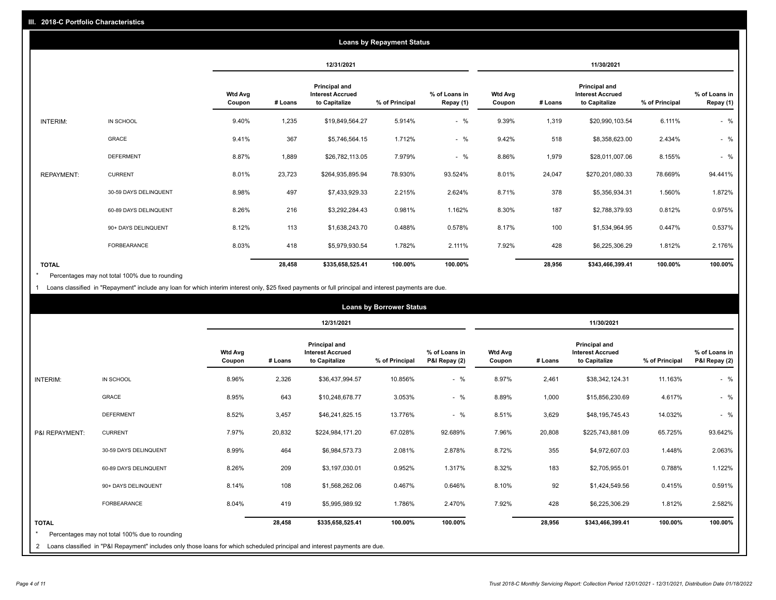| <b>Loans by Repayment Status</b> |                       |                          |            |                                                                  |                |                            |                          |         |                                                           |                |                            |
|----------------------------------|-----------------------|--------------------------|------------|------------------------------------------------------------------|----------------|----------------------------|--------------------------|---------|-----------------------------------------------------------|----------------|----------------------------|
|                                  |                       |                          | 12/31/2021 |                                                                  |                | 11/30/2021                 |                          |         |                                                           |                |                            |
|                                  |                       | <b>Wtd Avg</b><br>Coupon | # Loans    | <b>Principal and</b><br><b>Interest Accrued</b><br>to Capitalize | % of Principal | % of Loans in<br>Repay (1) | <b>Wtd Avg</b><br>Coupon | # Loans | Principal and<br><b>Interest Accrued</b><br>to Capitalize | % of Principal | % of Loans in<br>Repay (1) |
| INTERIM:                         | IN SCHOOL             | 9.40%                    | 1,235      | \$19,849,564.27                                                  | 5.914%         | $-$ %                      | 9.39%                    | 1,319   | \$20,990,103.54                                           | 6.111%         | $-$ %                      |
|                                  | GRACE                 | 9.41%                    | 367        | \$5,746,564.15                                                   | 1.712%         | $-$ %                      | 9.42%                    | 518     | \$8,358,623.00                                            | 2.434%         | $-$ %                      |
|                                  | <b>DEFERMENT</b>      | 8.87%                    | 1,889      | \$26,782,113.05                                                  | 7.979%         | $-$ %                      | 8.86%                    | 1,979   | \$28,011,007.06                                           | 8.155%         | $-$ %                      |
| <b>REPAYMENT:</b>                | <b>CURRENT</b>        | 8.01%                    | 23,723     | \$264,935,895.94                                                 | 78.930%        | 93.524%                    | 8.01%                    | 24,047  | \$270,201,080.33                                          | 78.669%        | 94.441%                    |
|                                  | 30-59 DAYS DELINQUENT | 8.98%                    | 497        | \$7,433,929.33                                                   | 2.215%         | 2.624%                     | 8.71%                    | 378     | \$5,356,934.31                                            | 1.560%         | 1.872%                     |
|                                  | 60-89 DAYS DELINQUENT | 8.26%                    | 216        | \$3,292,284.43                                                   | 0.981%         | 1.162%                     | 8.30%                    | 187     | \$2,788,379.93                                            | 0.812%         | 0.975%                     |
|                                  | 90+ DAYS DELINQUENT   | 8.12%                    | 113        | \$1,638,243.70                                                   | 0.488%         | 0.578%                     | 8.17%                    | 100     | \$1,534,964.95                                            | 0.447%         | 0.537%                     |
|                                  | <b>FORBEARANCE</b>    | 8.03%                    | 418        | \$5,979,930.54                                                   | 1.782%         | 2.111%                     | 7.92%                    | 428     | \$6,225,306.29                                            | 1.812%         | 2.176%                     |
| <b>TOTAL</b>                     |                       |                          | 28,458     | \$335,658,525.41                                                 | 100.00%        | 100.00%                    |                          | 28,956  | \$343,466,399.41                                          | 100.00%        | 100.00%                    |

Percentages may not total 100% due to rounding \*

1 Loans classified in "Repayment" include any loan for which interim interest only, \$25 fixed payments or full principal and interest payments are due.

|                         |                                                                                                                              |                          | <b>Loans by Borrower Status</b> |                                                                  |                |                                |                          |         |                                                                  |                |                                |
|-------------------------|------------------------------------------------------------------------------------------------------------------------------|--------------------------|---------------------------------|------------------------------------------------------------------|----------------|--------------------------------|--------------------------|---------|------------------------------------------------------------------|----------------|--------------------------------|
|                         |                                                                                                                              |                          |                                 | 12/31/2021                                                       |                |                                | 11/30/2021               |         |                                                                  |                |                                |
|                         |                                                                                                                              | <b>Wtd Avg</b><br>Coupon | # Loans                         | <b>Principal and</b><br><b>Interest Accrued</b><br>to Capitalize | % of Principal | % of Loans in<br>P&I Repay (2) | <b>Wtd Avg</b><br>Coupon | # Loans | <b>Principal and</b><br><b>Interest Accrued</b><br>to Capitalize | % of Principal | % of Loans in<br>P&I Repay (2) |
| INTERIM:                | IN SCHOOL                                                                                                                    | 8.96%                    | 2,326                           | \$36,437,994.57                                                  | 10.856%        | $-$ %                          | 8.97%                    | 2,461   | \$38,342,124.31                                                  | 11.163%        | $-$ %                          |
|                         | <b>GRACE</b>                                                                                                                 | 8.95%                    | 643                             | \$10,248,678.77                                                  | 3.053%         | $-$ %                          | 8.89%                    | 1,000   | \$15,856,230.69                                                  | 4.617%         | $-$ %                          |
|                         | <b>DEFERMENT</b>                                                                                                             | 8.52%                    | 3,457                           | \$46,241,825.15                                                  | 13.776%        | $-$ %                          | 8.51%                    | 3,629   | \$48,195,745.43                                                  | 14.032%        | $-$ %                          |
| P&I REPAYMENT:          | <b>CURRENT</b>                                                                                                               | 7.97%                    | 20,832                          | \$224,984,171.20                                                 | 67.028%        | 92.689%                        | 7.96%                    | 20,808  | \$225,743,881.09                                                 | 65.725%        | 93.642%                        |
|                         | 30-59 DAYS DELINQUENT                                                                                                        | 8.99%                    | 464                             | \$6,984,573.73                                                   | 2.081%         | 2.878%                         | 8.72%                    | 355     | \$4,972,607.03                                                   | 1.448%         | 2.063%                         |
|                         | 60-89 DAYS DELINQUENT                                                                                                        | 8.26%                    | 209                             | \$3,197,030.01                                                   | 0.952%         | 1.317%                         | 8.32%                    | 183     | \$2,705,955.01                                                   | 0.788%         | 1.122%                         |
|                         | 90+ DAYS DELINQUENT                                                                                                          | 8.14%                    | 108                             | \$1,568,262.06                                                   | 0.467%         | 0.646%                         | 8.10%                    | 92      | \$1,424,549.56                                                   | 0.415%         | 0.591%                         |
|                         | FORBEARANCE                                                                                                                  | 8.04%                    | 419                             | \$5,995,989.92                                                   | 1.786%         | 2.470%                         | 7.92%                    | 428     | \$6,225,306.29                                                   | 1.812%         | 2.582%                         |
| <b>TOTAL</b><br>$\star$ | Percentages may not total 100% due to rounding                                                                               |                          | 28,458                          | \$335,658,525.41                                                 | 100.00%        | 100.00%                        |                          | 28,956  | \$343,466,399.41                                                 | 100.00%        | 100.00%                        |
|                         | 2 Loans classified in "P&I Repayment" includes only those loans for which scheduled principal and interest payments are due. |                          |                                 |                                                                  |                |                                |                          |         |                                                                  |                |                                |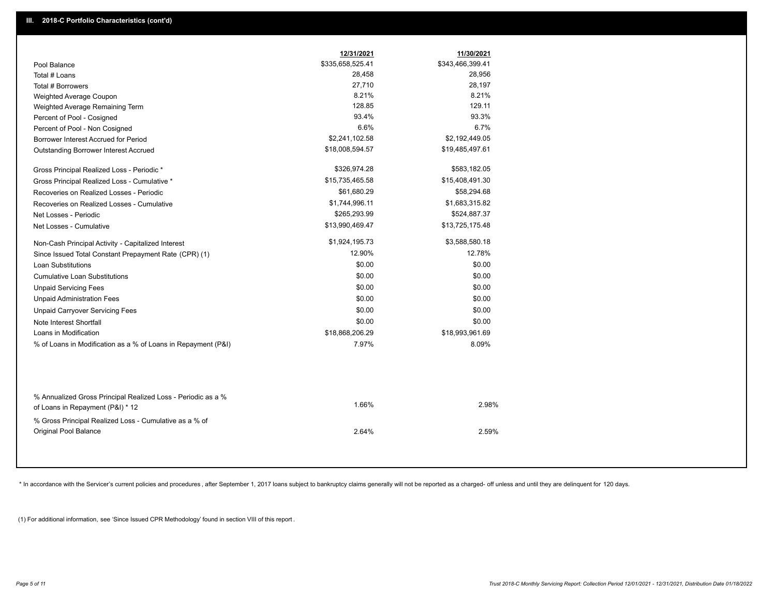|                                                                                                  | 12/31/2021       | 11/30/2021       |  |
|--------------------------------------------------------------------------------------------------|------------------|------------------|--|
| Pool Balance                                                                                     | \$335,658,525.41 | \$343,466,399.41 |  |
| Total # Loans                                                                                    | 28,458           | 28,956           |  |
| Total # Borrowers                                                                                | 27,710           | 28,197           |  |
| Weighted Average Coupon                                                                          | 8.21%            | 8.21%            |  |
| Weighted Average Remaining Term                                                                  | 128.85           | 129.11           |  |
| Percent of Pool - Cosigned                                                                       | 93.4%            | 93.3%            |  |
| Percent of Pool - Non Cosigned                                                                   | 6.6%             | 6.7%             |  |
| Borrower Interest Accrued for Period                                                             | \$2,241,102.58   | \$2,192,449.05   |  |
| Outstanding Borrower Interest Accrued                                                            | \$18,008,594.57  | \$19,485,497.61  |  |
| Gross Principal Realized Loss - Periodic *                                                       | \$326,974.28     | \$583,182.05     |  |
| Gross Principal Realized Loss - Cumulative *                                                     | \$15,735,465.58  | \$15,408,491.30  |  |
| Recoveries on Realized Losses - Periodic                                                         | \$61,680.29      | \$58,294.68      |  |
| Recoveries on Realized Losses - Cumulative                                                       | \$1,744,996.11   | \$1,683,315.82   |  |
| Net Losses - Periodic                                                                            | \$265,293.99     | \$524,887.37     |  |
| Net Losses - Cumulative                                                                          | \$13,990,469.47  | \$13,725,175.48  |  |
| Non-Cash Principal Activity - Capitalized Interest                                               | \$1,924,195.73   | \$3,588,580.18   |  |
| Since Issued Total Constant Prepayment Rate (CPR) (1)                                            | 12.90%           | 12.78%           |  |
| <b>Loan Substitutions</b>                                                                        | \$0.00           | \$0.00           |  |
| <b>Cumulative Loan Substitutions</b>                                                             | \$0.00           | \$0.00           |  |
| <b>Unpaid Servicing Fees</b>                                                                     | \$0.00           | \$0.00           |  |
| <b>Unpaid Administration Fees</b>                                                                | \$0.00           | \$0.00           |  |
| <b>Unpaid Carryover Servicing Fees</b>                                                           | \$0.00           | \$0.00           |  |
| Note Interest Shortfall                                                                          | \$0.00           | \$0.00           |  |
| Loans in Modification                                                                            | \$18,868,206.29  | \$18,993,961.69  |  |
| % of Loans in Modification as a % of Loans in Repayment (P&I)                                    | 7.97%            | 8.09%            |  |
|                                                                                                  |                  |                  |  |
| % Annualized Gross Principal Realized Loss - Periodic as a %<br>of Loans in Repayment (P&I) * 12 | 1.66%            | 2.98%            |  |
| % Gross Principal Realized Loss - Cumulative as a % of                                           |                  |                  |  |

\* In accordance with the Servicer's current policies and procedures, after September 1, 2017 loans subject to bankruptcy claims generally will not be reported as a charged- off unless and until they are delinquent for 120

2.64% 2.59%

(1) For additional information, see 'Since Issued CPR Methodology' found in section VIII of this report .

Original Pool Balance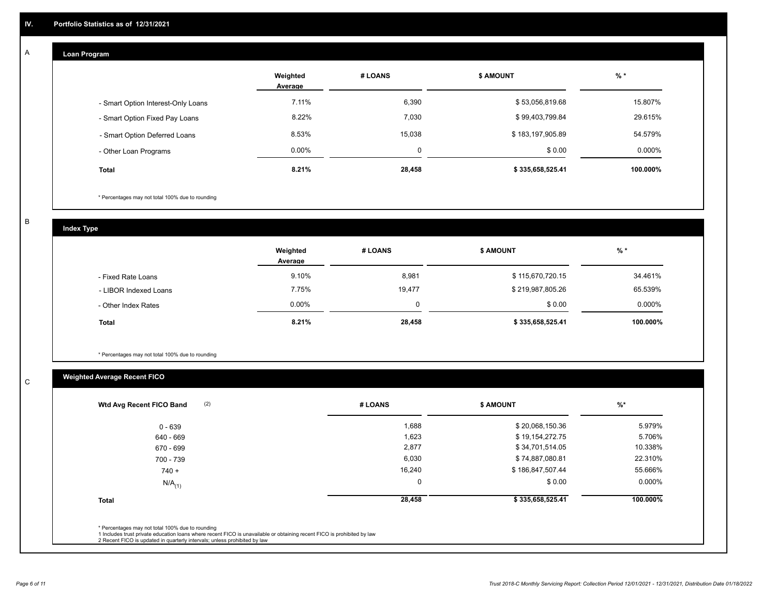## **Loan Program**

A

|                                    | Weighted<br>Average | # LOANS  | <b>\$ AMOUNT</b> | $%$ *    |
|------------------------------------|---------------------|----------|------------------|----------|
| - Smart Option Interest-Only Loans | 7.11%               | 6,390    | \$53,056,819.68  | 15.807%  |
| - Smart Option Fixed Pay Loans     | 8.22%               | 7,030    | \$99,403,799.84  | 29.615%  |
| - Smart Option Deferred Loans      | 8.53%               | 15,038   | \$183,197,905.89 | 54.579%  |
| - Other Loan Programs              | $0.00\%$            | $\Omega$ | \$0.00           | 0.000%   |
| <b>Total</b>                       | 8.21%               | 28,458   | \$335,658,525.41 | 100.000% |

\* Percentages may not total 100% due to rounding

B

C

**Index Type**

|                       | Weighted<br>Average | # LOANS | <b>\$ AMOUNT</b> | $%$ *     |
|-----------------------|---------------------|---------|------------------|-----------|
| - Fixed Rate Loans    | 9.10%               | 8,981   | \$115,670,720.15 | 34.461%   |
| - LIBOR Indexed Loans | 7.75%               | 19,477  | \$219,987,805.26 | 65.539%   |
| - Other Index Rates   | $0.00\%$            |         | \$0.00           | $0.000\%$ |
| <b>Total</b>          | 8.21%               | 28,458  | \$335,658,525.41 | 100.000%  |

\* Percentages may not total 100% due to rounding

# **Weighted Average Recent FICO**

| (2)<br>Wtd Avg Recent FICO Band | # LOANS     | <b>\$ AMOUNT</b> | $\frac{9}{6}$ * |
|---------------------------------|-------------|------------------|-----------------|
| $0 - 639$                       | 1,688       | \$20,068,150.36  | 5.979%          |
| 640 - 669                       | 1,623       | \$19,154,272.75  | 5.706%          |
| 670 - 699                       | 2,877       | \$34,701,514.05  | 10.338%         |
| 700 - 739                       | 6,030       | \$74,887,080.81  | 22.310%         |
| $740 +$                         | 16,240      | \$186,847,507.44 | 55.666%         |
| $N/A$ <sub>(1)</sub>            | $\mathbf 0$ | \$0.00           | $0.000\%$       |
| <b>Total</b>                    | 28,458      | \$335,658,525.41 | 100.000%        |
|                                 |             |                  |                 |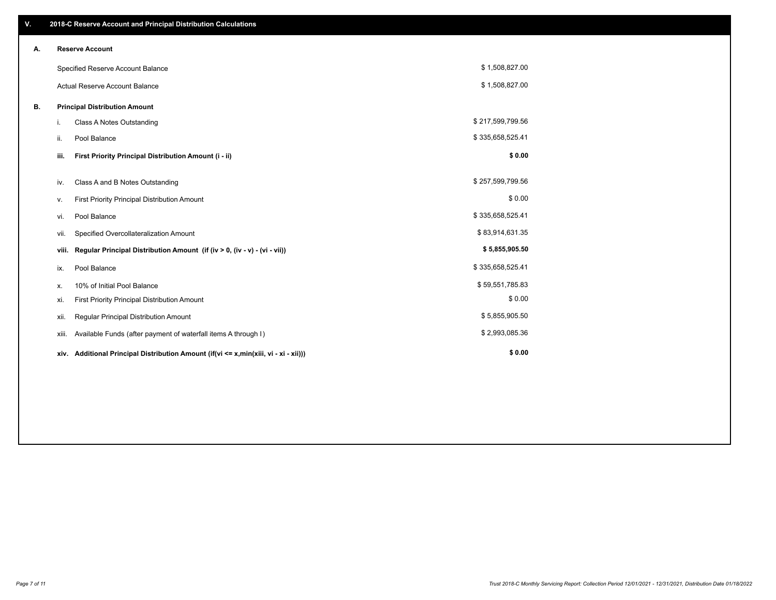| V. |       | 2018-C Reserve Account and Principal Distribution Calculations                  |                  |  |
|----|-------|---------------------------------------------------------------------------------|------------------|--|
| А. |       | <b>Reserve Account</b>                                                          |                  |  |
|    |       | Specified Reserve Account Balance                                               | \$1,508,827.00   |  |
|    |       | <b>Actual Reserve Account Balance</b>                                           | \$1,508,827.00   |  |
| В. |       | <b>Principal Distribution Amount</b>                                            |                  |  |
|    | i.    | Class A Notes Outstanding                                                       | \$217,599,799.56 |  |
|    | ii.   | Pool Balance                                                                    | \$335,658,525.41 |  |
|    | iii.  | First Priority Principal Distribution Amount (i - ii)                           | \$0.00           |  |
|    | iv.   | Class A and B Notes Outstanding                                                 | \$257,599,799.56 |  |
|    | ٧.    | First Priority Principal Distribution Amount                                    | \$0.00           |  |
|    | vi.   | Pool Balance                                                                    | \$335,658,525.41 |  |
|    | vii.  | Specified Overcollateralization Amount                                          | \$83,914,631.35  |  |
|    | viii. | Regular Principal Distribution Amount (if (iv > 0, (iv - v) - (vi - vii))       | \$5,855,905.50   |  |
|    | ix.   | Pool Balance                                                                    | \$335,658,525.41 |  |
|    | X.    | 10% of Initial Pool Balance                                                     | \$59,551,785.83  |  |
|    | xi.   | First Priority Principal Distribution Amount                                    | \$0.00           |  |
|    | xii.  | Regular Principal Distribution Amount                                           | \$5,855,905.50   |  |
|    | xiii. | Available Funds (after payment of waterfall items A through I)                  | \$2,993,085.36   |  |
|    | xiv.  | Additional Principal Distribution Amount (if(vi <= x,min(xiii, vi - xi - xii))) | \$0.00           |  |
|    |       |                                                                                 |                  |  |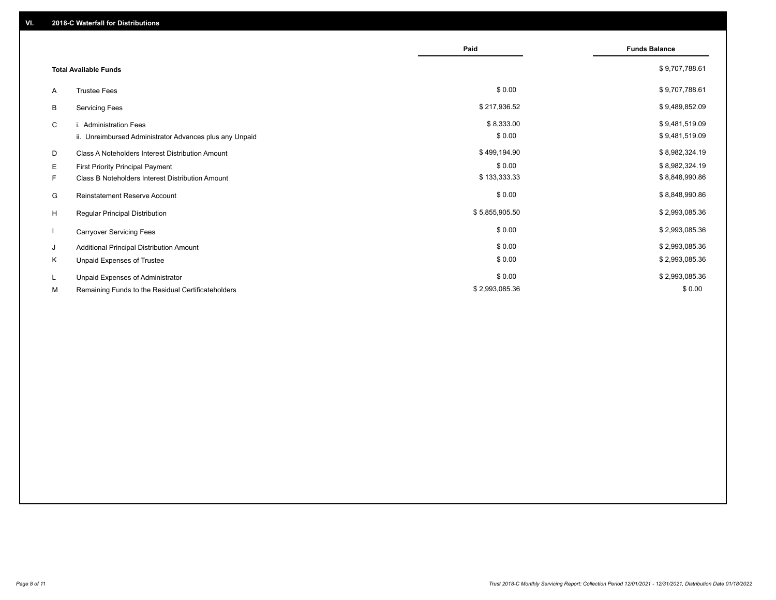|    |                                                         | Paid           | <b>Funds Balance</b> |
|----|---------------------------------------------------------|----------------|----------------------|
|    | <b>Total Available Funds</b>                            |                | \$9,707,788.61       |
| A  | <b>Trustee Fees</b>                                     | \$0.00         | \$9,707,788.61       |
| В  | <b>Servicing Fees</b>                                   | \$217,936.52   | \$9,489,852.09       |
| C  | i. Administration Fees                                  | \$8,333.00     | \$9,481,519.09       |
|    | ii. Unreimbursed Administrator Advances plus any Unpaid | \$0.00         | \$9,481,519.09       |
| D  | Class A Noteholders Interest Distribution Amount        | \$499,194.90   | \$8,982,324.19       |
| Е  | First Priority Principal Payment                        | \$0.00         | \$8,982,324.19       |
| F. | Class B Noteholders Interest Distribution Amount        | \$133,333.33   | \$8,848,990.86       |
| G  | <b>Reinstatement Reserve Account</b>                    | \$0.00         | \$8,848,990.86       |
| H  | Regular Principal Distribution                          | \$5,855,905.50 | \$2,993,085.36       |
|    | <b>Carryover Servicing Fees</b>                         | \$0.00         | \$2,993,085.36       |
| J  | Additional Principal Distribution Amount                | \$0.00         | \$2,993,085.36       |
| Κ  | Unpaid Expenses of Trustee                              | \$0.00         | \$2,993,085.36       |
| L  | Unpaid Expenses of Administrator                        | \$0.00         | \$2,993,085.36       |
| М  | Remaining Funds to the Residual Certificateholders      | \$2,993,085.36 | \$0.00               |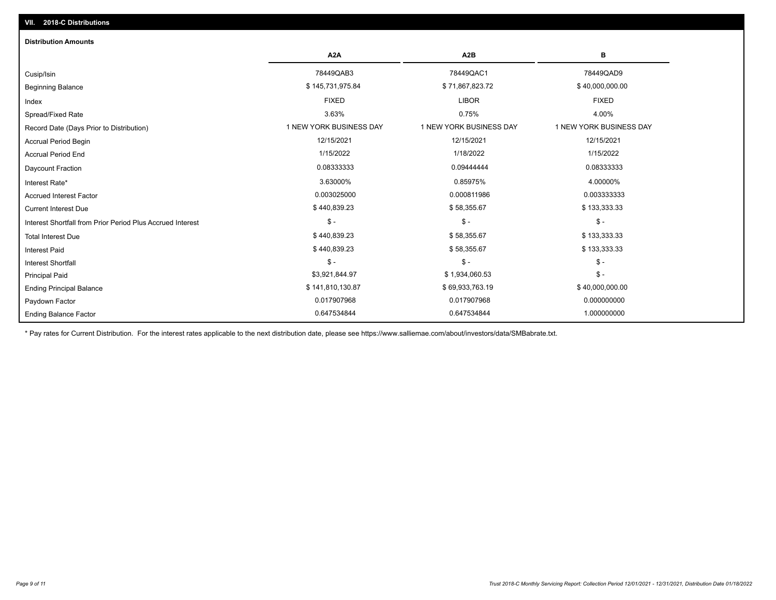| <b>Distribution Amounts</b>                                |                         |                         |                         |
|------------------------------------------------------------|-------------------------|-------------------------|-------------------------|
|                                                            | A <sub>2</sub> A        | A <sub>2</sub> B        | в                       |
| Cusip/Isin                                                 | 78449QAB3               | 78449QAC1               | 78449QAD9               |
| <b>Beginning Balance</b>                                   | \$145,731,975.84        | \$71,867,823.72         | \$40,000,000.00         |
| Index                                                      | <b>FIXED</b>            | <b>LIBOR</b>            | <b>FIXED</b>            |
| Spread/Fixed Rate                                          | 3.63%                   | 0.75%                   | 4.00%                   |
| Record Date (Days Prior to Distribution)                   | 1 NEW YORK BUSINESS DAY | 1 NEW YORK BUSINESS DAY | 1 NEW YORK BUSINESS DAY |
| <b>Accrual Period Begin</b>                                | 12/15/2021              | 12/15/2021              | 12/15/2021              |
| <b>Accrual Period End</b>                                  | 1/15/2022               | 1/18/2022               | 1/15/2022               |
| Daycount Fraction                                          | 0.08333333              | 0.09444444              | 0.08333333              |
| Interest Rate*                                             | 3.63000%                | 0.85975%                | 4.00000%                |
| <b>Accrued Interest Factor</b>                             | 0.003025000             | 0.000811986             | 0.003333333             |
| <b>Current Interest Due</b>                                | \$440,839.23            | \$58,355.67             | \$133,333.33            |
| Interest Shortfall from Prior Period Plus Accrued Interest | $\mathsf{\$}$ -         | $$ -$                   | $\mathsf{\$}$ -         |
| <b>Total Interest Due</b>                                  | \$440,839.23            | \$58,355.67             | \$133,333.33            |
| <b>Interest Paid</b>                                       | \$440,839.23            | \$58,355.67             | \$133,333.33            |
| <b>Interest Shortfall</b>                                  | $\mathsf{\$}$ -         | $$ -$                   | $\frac{1}{2}$           |
| <b>Principal Paid</b>                                      | \$3,921,844.97          | \$1,934,060.53          | $\frac{1}{2}$           |
| <b>Ending Principal Balance</b>                            | \$141,810,130.87        | \$69,933,763.19         | \$40,000,000.00         |
| Paydown Factor                                             | 0.017907968             | 0.017907968             | 0.000000000             |
| <b>Ending Balance Factor</b>                               | 0.647534844             | 0.647534844             | 1.000000000             |

\* Pay rates for Current Distribution. For the interest rates applicable to the next distribution date, please see https://www.salliemae.com/about/investors/data/SMBabrate.txt.

**VII. 2018-C Distributions**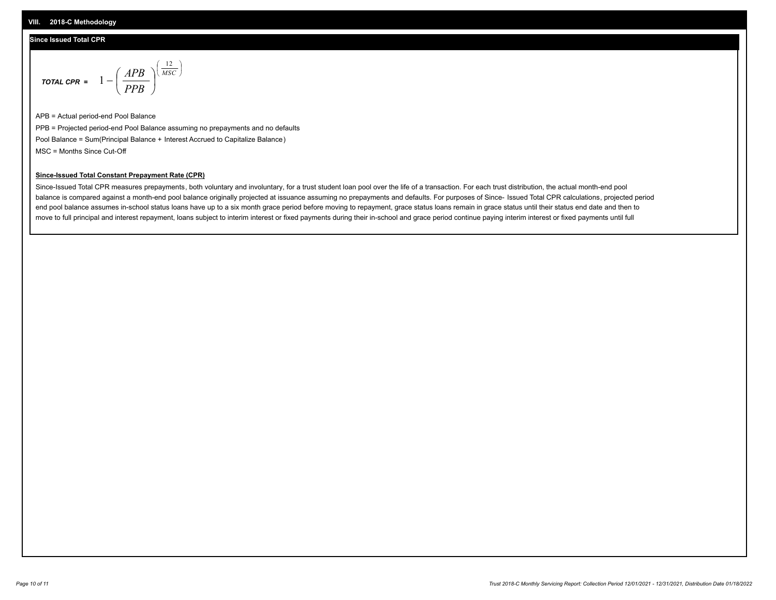## **Since Issued Total CPR**

$$
\text{total cPR} = 1 - \left(\frac{APB}{PPB}\right)^{\left(\frac{12}{MSC}\right)}
$$

APB = Actual period-end Pool Balance PPB = Projected period-end Pool Balance assuming no prepayments and no defaults Pool Balance = Sum(Principal Balance + Interest Accrued to Capitalize Balance) MSC = Months Since Cut-Off

I J Ι

### **Since-Issued Total Constant Prepayment Rate (CPR)**

Since-Issued Total CPR measures prepayments, both voluntary and involuntary, for a trust student loan pool over the life of a transaction. For each trust distribution, the actual month-end pool balance is compared against a month-end pool balance originally projected at issuance assuming no prepayments and defaults. For purposes of Since- Issued Total CPR calculations, projected period end pool balance assumes in-school status loans have up to a six month grace period before moving to repayment, grace status loans remain in grace status until their status end date and then to move to full principal and interest repayment, loans subject to interim interest or fixed payments during their in-school and grace period continue paying interim interest or fixed payments until full